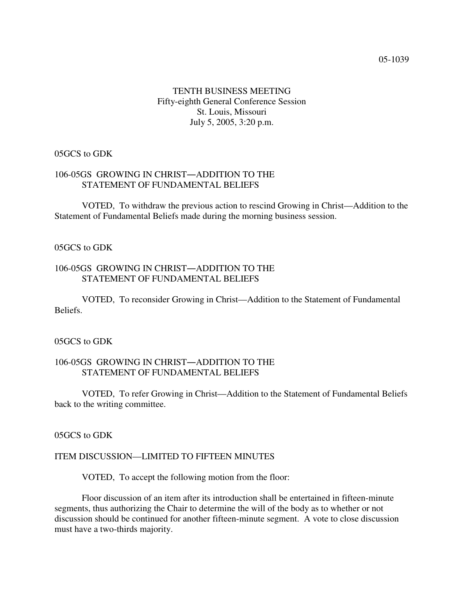# TENTH BUSINESS MEETING Fifty-eighth General Conference Session St. Louis, Missouri July 5, 2005, 3:20 p.m.

### 05GCS to GDK

## 106-05GS GROWING IN CHRIST-ADDITION TO THE STATEMENT OF FUNDAMENTAL BELIEFS

VOTED, To withdraw the previous action to rescind Growing in Christ—Addition to the Statement of Fundamental Beliefs made during the morning business session.

### 05GCS to GDK

### 106-05GS GROWING IN CHRIST-ADDITION TO THE STATEMENT OF FUNDAMENTAL BELIEFS

VOTED, To reconsider Growing in Christ—Addition to the Statement of Fundamental Beliefs.

### 05GCS to GDK

### 106-05GS GROWING IN CHRIST-ADDITION TO THE STATEMENT OF FUNDAMENTAL BELIEFS

VOTED, To refer Growing in Christ—Addition to the Statement of Fundamental Beliefs back to the writing committee.

### 05GCS to GDK

#### ITEM DISCUSSION—LIMITED TO FIFTEEN MINUTES

VOTED, To accept the following motion from the floor:

Floor discussion of an item after its introduction shall be entertained in fifteen-minute segments, thus authorizing the Chair to determine the will of the body as to whether or not discussion should be continued for another fifteen-minute segment. A vote to close discussion must have a two-thirds majority.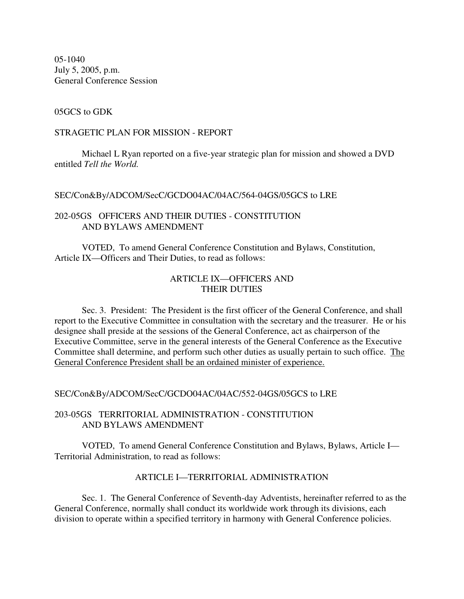05-1040 July 5, 2005, p.m. General Conference Session

#### 05GCS to GDK

#### STRAGETIC PLAN FOR MISSION - REPORT

Michael L Ryan reported on a five-year strategic plan for mission and showed a DVD entitled *Tell the World.*

### SEC/Con&By/ADCOM/SecC/GCDO04AC/04AC/564-04GS/05GCS to LRE

## 202-05GS OFFICERS AND THEIR DUTIES - CONSTITUTION AND BYLAWS AMENDMENT

VOTED, To amend General Conference Constitution and Bylaws, Constitution, Article IX—Officers and Their Duties, to read as follows:

# ARTICLE IX—OFFICERS AND THEIR DUTIES

Sec. 3. President: The President is the first officer of the General Conference, and shall report to the Executive Committee in consultation with the secretary and the treasurer. He or his designee shall preside at the sessions of the General Conference, act as chairperson of the Executive Committee, serve in the general interests of the General Conference as the Executive Committee shall determine, and perform such other duties as usually pertain to such office. The General Conference President shall be an ordained minister of experience.

#### SEC/Con&By/ADCOM/SecC/GCDO04AC/04AC/552-04GS/05GCS to LRE

### 203-05GS TERRITORIAL ADMINISTRATION - CONSTITUTION AND BYLAWS AMENDMENT

VOTED, To amend General Conference Constitution and Bylaws, Bylaws, Article I— Territorial Administration, to read as follows:

### ARTICLE I—TERRITORIAL ADMINISTRATION

Sec. 1. The General Conference of Seventh-day Adventists, hereinafter referred to as the General Conference, normally shall conduct its worldwide work through its divisions, each division to operate within a specified territory in harmony with General Conference policies.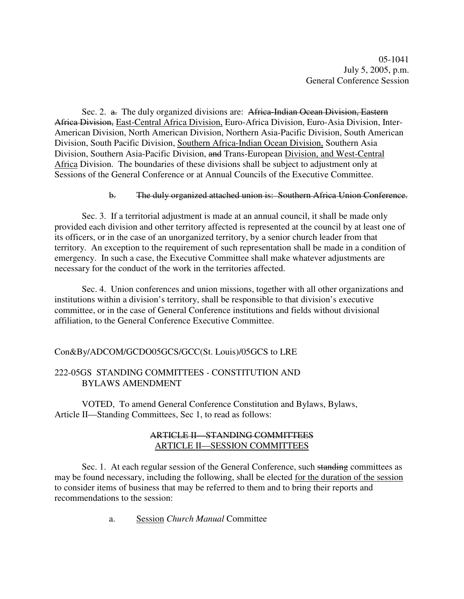05-1041 July 5, 2005, p.m. General Conference Session

Sec. 2. a. The duly organized divisions are: Africa-Indian Ocean Division, Eastern Africa Division, East-Central Africa Division, Euro-Africa Division, Euro-Asia Division, Inter-American Division, North American Division, Northern Asia-Pacific Division, South American Division, South Pacific Division, Southern Africa-Indian Ocean Division, Southern Asia Division, Southern Asia-Pacific Division, and Trans-European Division, and West-Central Africa Division. The boundaries of these divisions shall be subject to adjustment only at Sessions of the General Conference or at Annual Councils of the Executive Committee.

#### b. The duly organized attached union is: Southern Africa Union Conference.

Sec. 3. If a territorial adjustment is made at an annual council, it shall be made only provided each division and other territory affected is represented at the council by at least one of its officers, or in the case of an unorganized territory, by a senior church leader from that territory. An exception to the requirement of such representation shall be made in a condition of emergency. In such a case, the Executive Committee shall make whatever adjustments are necessary for the conduct of the work in the territories affected.

Sec. 4. Union conferences and union missions, together with all other organizations and institutions within a division's territory, shall be responsible to that division's executive committee, or in the case of General Conference institutions and fields without divisional affiliation, to the General Conference Executive Committee.

#### Con&By/ADCOM/GCDO05GCS/GCC(St. Louis)/05GCS to LRE

## 222-05GS STANDING COMMITTEES - CONSTITUTION AND BYLAWS AMENDMENT

VOTED, To amend General Conference Constitution and Bylaws, Bylaws, Article II—Standing Committees, Sec 1, to read as follows:

## ARTICLE II—STANDING COMMITTEES ARTICLE II—SESSION COMMITTEES

Sec. 1. At each regular session of the General Conference, such standing committees as may be found necessary, including the following, shall be elected for the duration of the session to consider items of business that may be referred to them and to bring their reports and recommendations to the session:

a. Session *Church Manual* Committee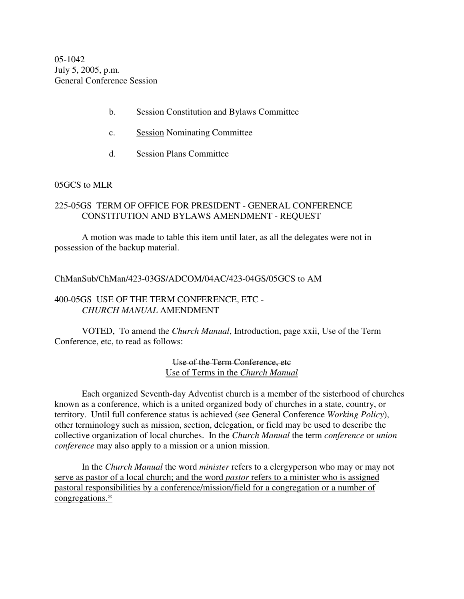05-1042 July 5, 2005, p.m. General Conference Session

- b. Session Constitution and Bylaws Committee
- c. Session Nominating Committee
- d. Session Plans Committee

#### 05GCS to MLR

## 225-05GS TERM OF OFFICE FOR PRESIDENT - GENERAL CONFERENCE CONSTITUTION AND BYLAWS AMENDMENT - REQUEST

A motion was made to table this item until later, as all the delegates were not in possession of the backup material.

ChManSub/ChMan/423-03GS/ADCOM/04AC/423-04GS/05GCS to AM

## 400-05GS USE OF THE TERM CONFERENCE, ETC - *CHURCH MANUAL* AMENDMENT

VOTED, To amend the *Church Manual*, Introduction, page xxii, Use of the Term Conference, etc, to read as follows:

> Use of the Term Conference, etc Use of Terms in the *Church Manual*

Each organized Seventh-day Adventist church is a member of the sisterhood of churches known as a conference, which is a united organized body of churches in a state, country, or territory. Until full conference status is achieved (see General Conference *Working Policy*), other terminology such as mission, section, delegation, or field may be used to describe the collective organization of local churches. In the *Church Manual* the term *conference* or *union conference* may also apply to a mission or a union mission.

In the *Church Manual* the word *minister* refers to a clergyperson who may or may not serve as pastor of a local church; and the word *pastor* refers to a minister who is assigned pastoral responsibilities by a conference/mission/field for a congregation or a number of congregations.\*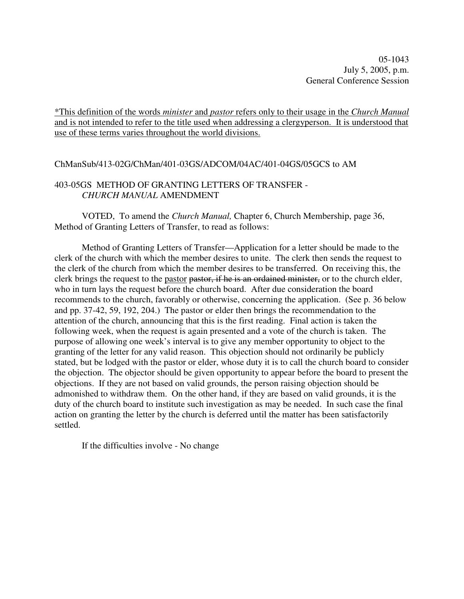05-1043 July 5, 2005, p.m. General Conference Session

\*This definition of the words *minister* and *pastor* refers only to their usage in the *Church Manual* and is not intended to refer to the title used when addressing a clergyperson. It is understood that use of these terms varies throughout the world divisions.

### ChManSub/413-02G/ChMan/401-03GS/ADCOM/04AC/401-04GS/05GCS to AM

# 403-05GS METHOD OF GRANTING LETTERS OF TRANSFER - *CHURCH MANUAL* AMENDMENT

VOTED, To amend the *Church Manual,* Chapter 6, Church Membership, page 36, Method of Granting Letters of Transfer, to read as follows:

Method of Granting Letters of Transfer—Application for a letter should be made to the clerk of the church with which the member desires to unite. The clerk then sends the request to the clerk of the church from which the member desires to be transferred. On receiving this, the clerk brings the request to the pastor pastor, if he is an ordained minister, or to the church elder, who in turn lays the request before the church board. After due consideration the board recommends to the church, favorably or otherwise, concerning the application. (See p. 36 below and pp. 37-42, 59, 192, 204.) The pastor or elder then brings the recommendation to the attention of the church, announcing that this is the first reading. Final action is taken the following week, when the request is again presented and a vote of the church is taken. The purpose of allowing one week's interval is to give any member opportunity to object to the granting of the letter for any valid reason. This objection should not ordinarily be publicly stated, but be lodged with the pastor or elder, whose duty it is to call the church board to consider the objection. The objector should be given opportunity to appear before the board to present the objections. If they are not based on valid grounds, the person raising objection should be admonished to withdraw them. On the other hand, if they are based on valid grounds, it is the duty of the church board to institute such investigation as may be needed. In such case the final action on granting the letter by the church is deferred until the matter has been satisfactorily settled.

If the difficulties involve - No change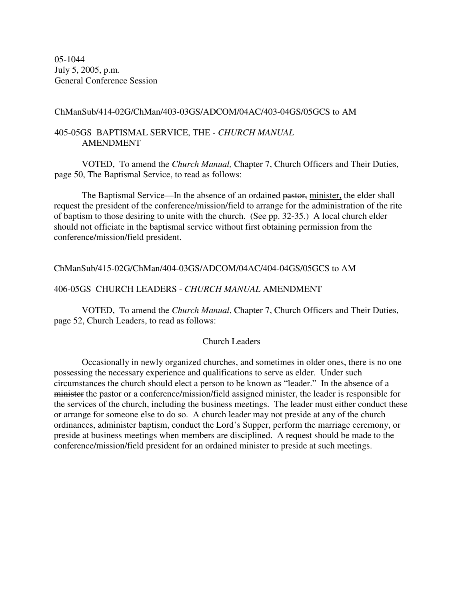05-1044 July 5, 2005, p.m. General Conference Session

### ChManSub/414-02G/ChMan/403-03GS/ADCOM/04AC/403-04GS/05GCS to AM

## 405-05GS BAPTISMAL SERVICE, THE - *CHURCH MANUAL* AMENDMENT

VOTED, To amend the *Church Manual,* Chapter 7, Church Officers and Their Duties, page 50, The Baptismal Service, to read as follows:

The Baptismal Service—In the absence of an ordained pastor, minister, the elder shall request the president of the conference/mission/field to arrange for the administration of the rite of baptism to those desiring to unite with the church. (See pp. 32-35.) A local church elder should not officiate in the baptismal service without first obtaining permission from the conference/mission/field president.

### ChManSub/415-02G/ChMan/404-03GS/ADCOM/04AC/404-04GS/05GCS to AM

### 406-05GS CHURCH LEADERS - *CHURCH MANUAL* AMENDMENT

VOTED, To amend the *Church Manual*, Chapter 7, Church Officers and Their Duties, page 52, Church Leaders, to read as follows:

#### Church Leaders

Occasionally in newly organized churches, and sometimes in older ones, there is no one possessing the necessary experience and qualifications to serve as elder. Under such circumstances the church should elect a person to be known as "leader." In the absence of a minister the pastor or a conference/mission/field assigned minister, the leader is responsible for the services of the church, including the business meetings. The leader must either conduct these or arrange for someone else to do so. A church leader may not preside at any of the church ordinances, administer baptism, conduct the Lord's Supper, perform the marriage ceremony, or preside at business meetings when members are disciplined. A request should be made to the conference/mission/field president for an ordained minister to preside at such meetings.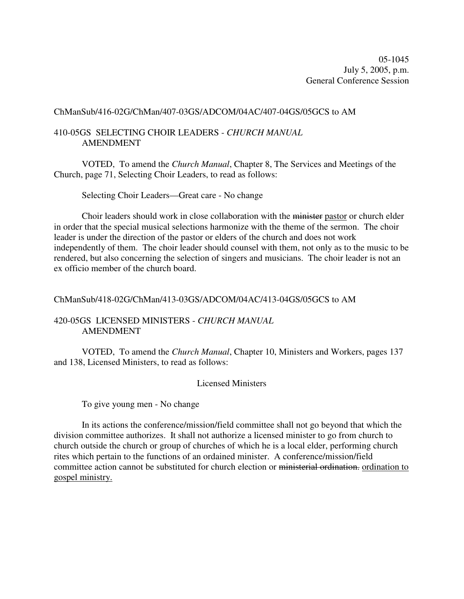ChManSub/416-02G/ChMan/407-03GS/ADCOM/04AC/407-04GS/05GCS to AM

## 410-05GS SELECTING CHOIR LEADERS - *CHURCH MANUAL* AMENDMENT

VOTED, To amend the *Church Manual*, Chapter 8, The Services and Meetings of the Church, page 71, Selecting Choir Leaders, to read as follows:

Selecting Choir Leaders—Great care - No change

Choir leaders should work in close collaboration with the minister pastor or church elder in order that the special musical selections harmonize with the theme of the sermon. The choir leader is under the direction of the pastor or elders of the church and does not work independently of them. The choir leader should counsel with them, not only as to the music to be rendered, but also concerning the selection of singers and musicians. The choir leader is not an ex officio member of the church board.

### ChManSub/418-02G/ChMan/413-03GS/ADCOM/04AC/413-04GS/05GCS to AM

# 420-05GS LICENSED MINISTERS - *CHURCH MANUAL* AMENDMENT

VOTED, To amend the *Church Manual*, Chapter 10, Ministers and Workers, pages 137 and 138, Licensed Ministers, to read as follows:

### Licensed Ministers

To give young men - No change

In its actions the conference/mission/field committee shall not go beyond that which the division committee authorizes. It shall not authorize a licensed minister to go from church to church outside the church or group of churches of which he is a local elder, performing church rites which pertain to the functions of an ordained minister. A conference/mission/field committee action cannot be substituted for church election or ministerial ordination. ordination to gospel ministry.